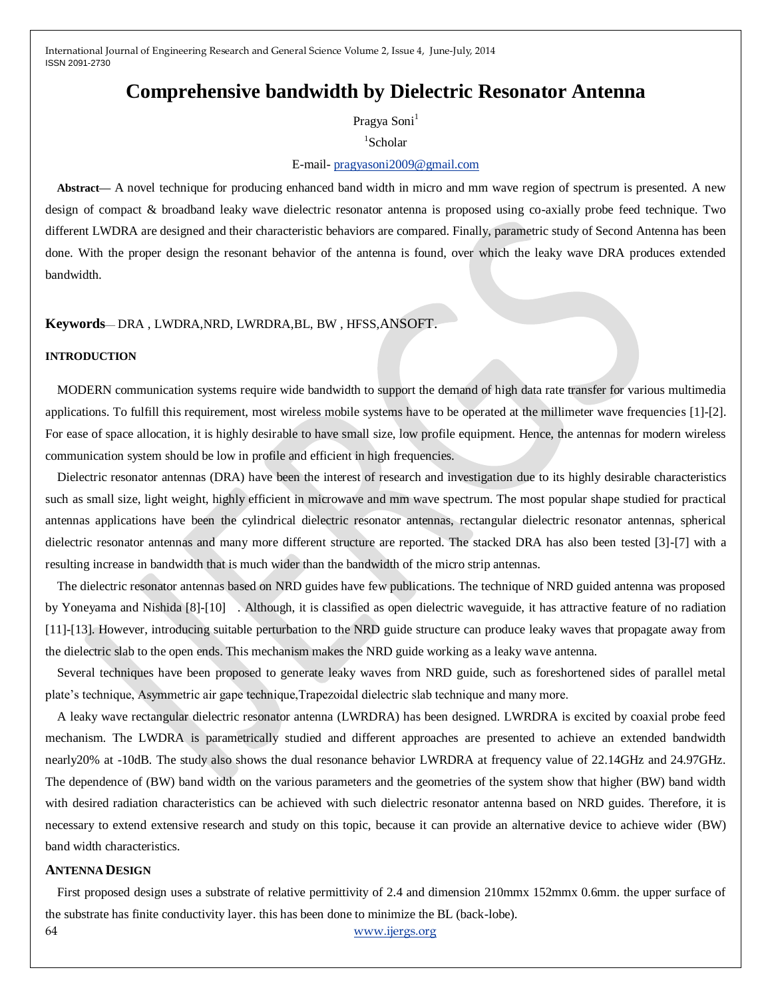# **Comprehensive bandwidth by Dielectric Resonator Antenna**

Pragya Soni<sup>1</sup>

# 1 Scholar

## E-mail- [pragyasoni2009@gmail.com](mailto:pragyasoni2009@gmail.com)

**Abstract—** A novel technique for producing enhanced band width in micro and mm wave region of spectrum is presented. A new design of compact & broadband leaky wave dielectric resonator antenna is proposed using co-axially probe feed technique. Two different LWDRA are designed and their characteristic behaviors are compared. Finally, parametric study of Second Antenna has been done. With the proper design the resonant behavior of the antenna is found, over which the leaky wave DRA produces extended bandwidth.

## **Keywords**— DRA , LWDRA,NRD, LWRDRA,BL, BW , HFSS,ANSOFT.

#### **INTRODUCTION**

MODERN communication systems require wide bandwidth to support the demand of high data rate transfer for various multimedia applications. To fulfill this requirement, most wireless mobile systems have to be operated at the millimeter wave frequencies [1]-[2]. For ease of space allocation, it is highly desirable to have small size, low profile equipment. Hence, the antennas for modern wireless communication system should be low in profile and efficient in high frequencies.

Dielectric resonator antennas (DRA) have been the interest of research and investigation due to its highly desirable characteristics such as small size, light weight, highly efficient in microwave and mm wave spectrum. The most popular shape studied for practical antennas applications have been the cylindrical dielectric resonator antennas, rectangular dielectric resonator antennas, spherical dielectric resonator antennas and many more different structure are reported. The stacked DRA has also been tested [3]-[7] with a resulting increase in bandwidth that is much wider than the bandwidth of the micro strip antennas.

The dielectric resonator antennas based on NRD guides have few publications. The technique of NRD guided antenna was proposed by Yoneyama and Nishida [8]-[10] . Although, it is classified as open dielectric waveguide, it has attractive feature of no radiation [11]-[13]. However, introducing suitable perturbation to the NRD guide structure can produce leaky waves that propagate away from the dielectric slab to the open ends. This mechanism makes the NRD guide working as a leaky wave antenna.

Several techniques have been proposed to generate leaky waves from NRD guide, such as foreshortened sides of parallel metal plate's technique, Asymmetric air gape technique,Trapezoidal dielectric slab technique and many more.

A leaky wave rectangular dielectric resonator antenna (LWRDRA) has been designed. LWRDRA is excited by coaxial probe feed mechanism. The LWDRA is parametrically studied and different approaches are presented to achieve an extended bandwidth nearly20% at -10dB. The study also shows the dual resonance behavior LWRDRA at frequency value of 22.14GHz and 24.97GHz. The dependence of (BW) band width on the various parameters and the geometries of the system show that higher (BW) band width with desired radiation characteristics can be achieved with such dielectric resonator antenna based on NRD guides. Therefore, it is necessary to extend extensive research and study on this topic, because it can provide an alternative device to achieve wider (BW) band width characteristics.

### **ANTENNA DESIGN**

First proposed design uses a substrate of relative permittivity of 2.4 and dimension 210mmx 152mmx 0.6mm. the upper surface of the substrate has finite conductivity layer. this has been done to minimize the BL (back-lobe).

64 [www.ijergs.org](http://www.ijergs.org/)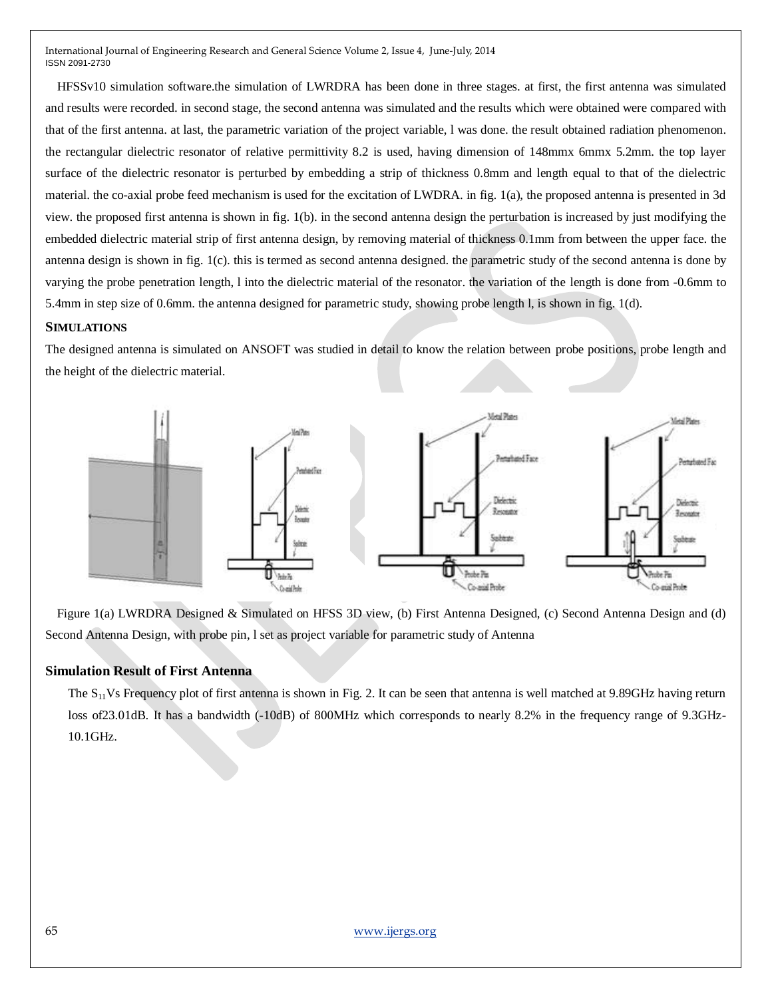HFSSv10 simulation software.the simulation of LWRDRA has been done in three stages. at first, the first antenna was simulated and results were recorded. in second stage, the second antenna was simulated and the results which were obtained were compared with that of the first antenna. at last, the parametric variation of the project variable, l was done. the result obtained radiation phenomenon. the rectangular dielectric resonator of relative permittivity 8.2 is used, having dimension of 148mmx 6mmx 5.2mm. the top layer surface of the dielectric resonator is perturbed by embedding a strip of thickness 0.8mm and length equal to that of the dielectric material. the co-axial probe feed mechanism is used for the excitation of LWDRA. in fig. 1(a), the proposed antenna is presented in 3d view. the proposed first antenna is shown in fig. 1(b). in the second antenna design the perturbation is increased by just modifying the embedded dielectric material strip of first antenna design, by removing material of thickness 0.1mm from between the upper face. the antenna design is shown in fig. 1(c). this is termed as second antenna designed. the parametric study of the second antenna is done by varying the probe penetration length, l into the dielectric material of the resonator. the variation of the length is done from -0.6mm to 5.4mm in step size of 0.6mm. the antenna designed for parametric study, showing probe length l, is shown in fig. 1(d).

## **SIMULATIONS**

The designed antenna is simulated on ANSOFT was studied in detail to know the relation between probe positions, probe length and the height of the dielectric material.



Figure 1(a) LWRDRA Designed & Simulated on HFSS 3D view, (b) First Antenna Designed, (c) Second Antenna Design and (d) Second Antenna Design, with probe pin, l set as project variable for parametric study of Antenna

## **Simulation Result of First Antenna**

The  $S_{11}$ Vs Frequency plot of first antenna is shown in Fig. 2. It can be seen that antenna is well matched at 9.89GHz having return loss of23.01dB. It has a bandwidth (-10dB) of 800MHz which corresponds to nearly 8.2% in the frequency range of 9.3GHz-10.1GHz.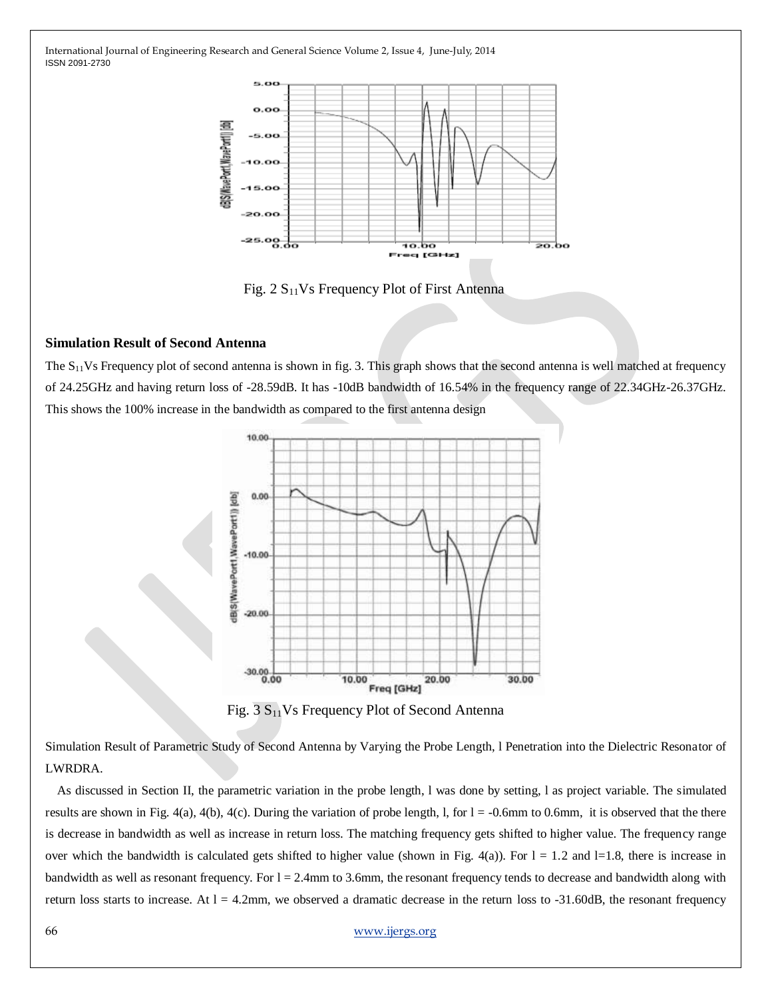

Fig.  $2 S<sub>11</sub>Vs Frequency Plot of First Antenna$ 

## **Simulation Result of Second Antenna**

The  $S_{11}$ Vs Frequency plot of second antenna is shown in fig. 3. This graph shows that the second antenna is well matched at frequency of 24.25GHz and having return loss of -28.59dB. It has -10dB bandwidth of 16.54% in the frequency range of 22.34GHz-26.37GHz. This shows the 100% increase in the bandwidth as compared to the first antenna design



Fig.  $3 S<sub>11</sub>Vs Frequency Plot of Second Antenna$ 

Simulation Result of Parametric Study of Second Antenna by Varying the Probe Length, l Penetration into the Dielectric Resonator of LWRDRA.

As discussed in Section II, the parametric variation in the probe length, l was done by setting, l as project variable. The simulated results are shown in Fig. 4(a), 4(b), 4(c). During the variation of probe length, l, for  $l = -0.6$ mm to 0.6mm, it is observed that the there is decrease in bandwidth as well as increase in return loss. The matching frequency gets shifted to higher value. The frequency range over which the bandwidth is calculated gets shifted to higher value (shown in Fig. 4(a)). For  $l = 1.2$  and  $l = 1.8$ , there is increase in bandwidth as well as resonant frequency. For  $l = 2.4$ mm to 3.6mm, the resonant frequency tends to decrease and bandwidth along with return loss starts to increase. At  $l = 4.2$ mm, we observed a dramatic decrease in the return loss to  $-31.60$ dB, the resonant frequency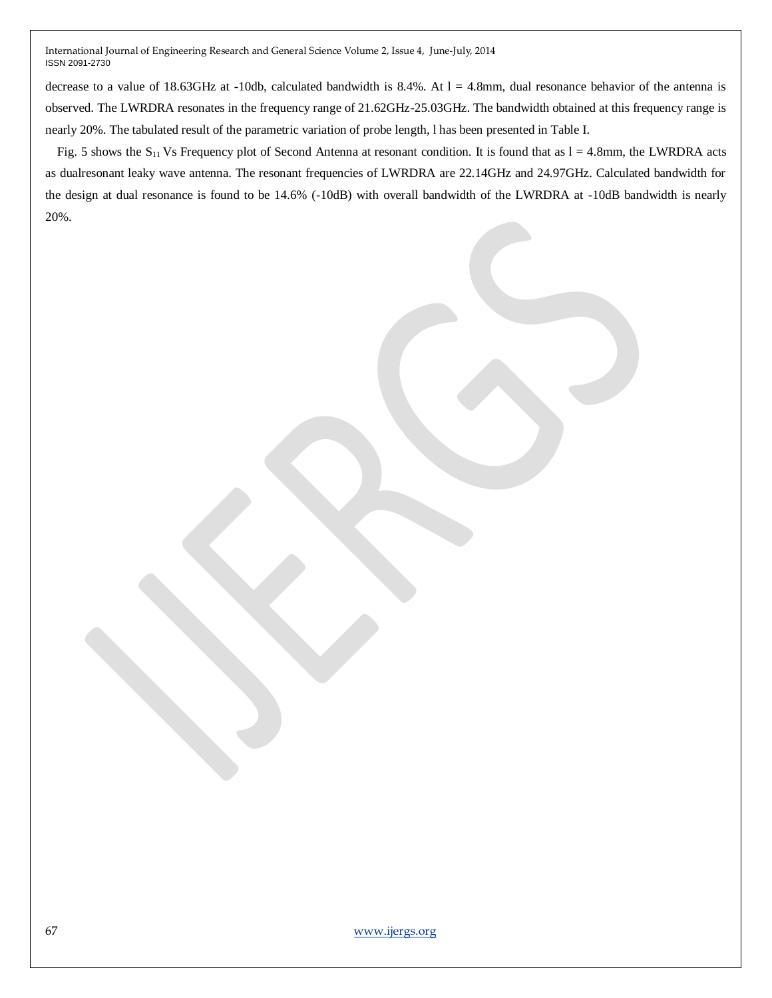decrease to a value of 18.63GHz at -10db, calculated bandwidth is 8.4%. At  $l = 4.8$ mm, dual resonance behavior of the antenna is observed. The LWRDRA resonates in the frequency range of 21.62GHz-25.03GHz. The bandwidth obtained at this frequency range is nearly 20%. The tabulated result of the parametric variation of probe length, l has been presented in Table I.

Fig. 5 shows the  $S_{11}$  Vs Frequency plot of Second Antenna at resonant condition. It is found that as  $l = 4.8$ mm, the LWRDRA acts as dualresonant leaky wave antenna. The resonant frequencies of LWRDRA are 22.14GHz and 24.97GHz. Calculated bandwidth for the design at dual resonance is found to be 14.6% (-10dB) with overall bandwidth of the LWRDRA at -10dB bandwidth is nearly 20%.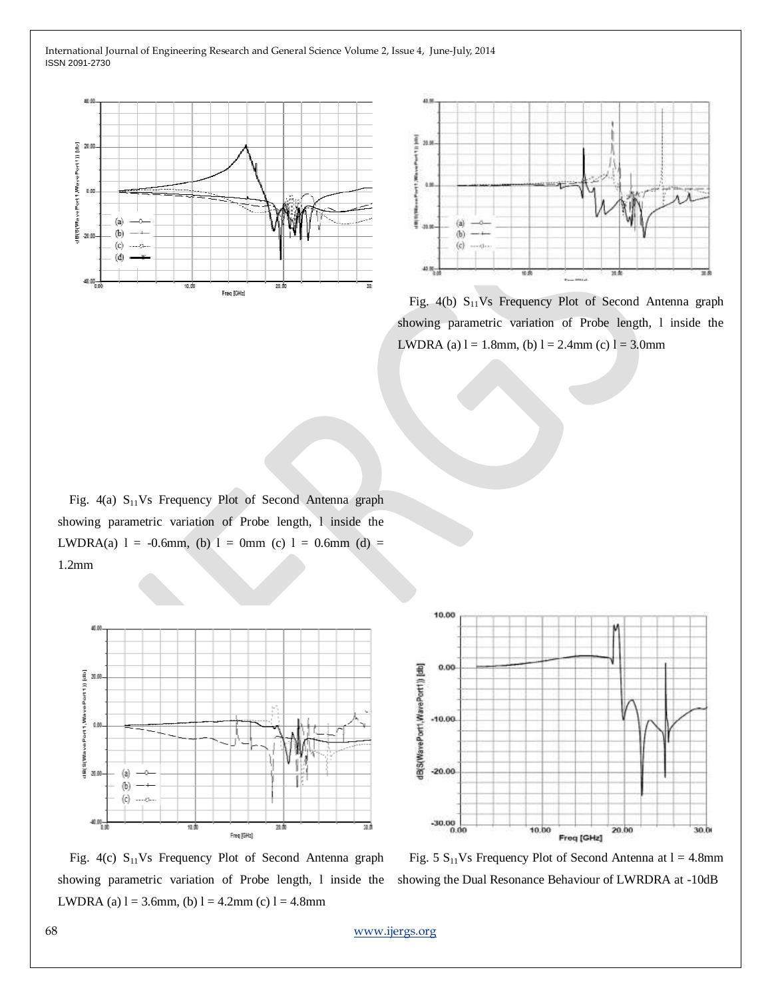



Fig.  $4(b)$  S<sub>11</sub>Vs Frequency Plot of Second Antenna graph showing parametric variation of Probe length, l inside the LWDRA (a)  $l = 1.8$ mm, (b)  $l = 2.4$ mm (c)  $l = 3.0$ mm

Fig.  $4(a)$  S<sub>11</sub>Vs Frequency Plot of Second Antenna graph showing parametric variation of Probe length, l inside the LWDRA(a)  $l = -0.6$ mm, (b)  $l = 0$ mm (c)  $l = 0.6$ mm (d) = 1.2mm





Fig.  $4(c)$  S<sub>11</sub>Vs Frequency Plot of Second Antenna graph showing parametric variation of Probe length, 1 inside the showing the Dual Resonance Behaviour of LWRDRA at -10dB LWDRA (a)  $l = 3.6$ mm, (b)  $l = 4.2$ mm (c)  $l = 4.8$ mm

Fig. 5  $S_{11}Vs$  Frequency Plot of Second Antenna at  $l = 4.8$ mm

68 [www.ijergs.org](http://www.ijergs.org/)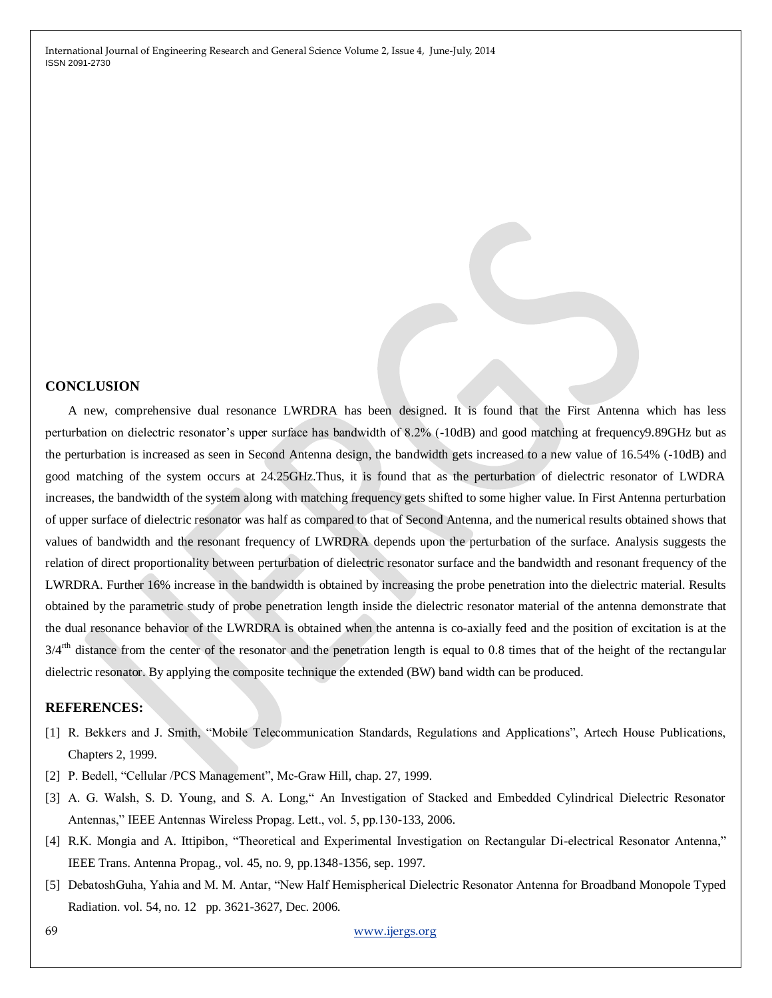#### **CONCLUSION**

A new, comprehensive dual resonance LWRDRA has been designed. It is found that the First Antenna which has less perturbation on dielectric resonator's upper surface has bandwidth of 8.2% (-10dB) and good matching at frequency9.89GHz but as the perturbation is increased as seen in Second Antenna design, the bandwidth gets increased to a new value of 16.54% (-10dB) and good matching of the system occurs at 24.25GHz.Thus, it is found that as the perturbation of dielectric resonator of LWDRA increases, the bandwidth of the system along with matching frequency gets shifted to some higher value. In First Antenna perturbation of upper surface of dielectric resonator was half as compared to that of Second Antenna, and the numerical results obtained shows that values of bandwidth and the resonant frequency of LWRDRA depends upon the perturbation of the surface. Analysis suggests the relation of direct proportionality between perturbation of dielectric resonator surface and the bandwidth and resonant frequency of the LWRDRA. Further 16% increase in the bandwidth is obtained by increasing the probe penetration into the dielectric material. Results obtained by the parametric study of probe penetration length inside the dielectric resonator material of the antenna demonstrate that the dual resonance behavior of the LWRDRA is obtained when the antenna is co-axially feed and the position of excitation is at the 3/4<sup>rth</sup> distance from the center of the resonator and the penetration length is equal to 0.8 times that of the height of the rectangular dielectric resonator. By applying the composite technique the extended (BW) band width can be produced.

## **REFERENCES:**

- [1] R. Bekkers and J. Smith, "Mobile Telecommunication Standards, Regulations and Applications", Artech House Publications, Chapters 2, 1999.
- [2] P. Bedell, "Cellular /PCS Management", Mc-Graw Hill, chap. 27, 1999.
- [3] A. G. Walsh, S. D. Young, and S. A. Long," An Investigation of Stacked and Embedded Cylindrical Dielectric Resonator Antennas," IEEE Antennas Wireless Propag. Lett., vol. 5, pp.130-133, 2006.
- [4] R.K. Mongia and A. Ittipibon, "Theoretical and Experimental Investigation on Rectangular Di-electrical Resonator Antenna," IEEE Trans. Antenna Propag., vol. 45, no. 9, pp.1348-1356, sep. 1997.
- [5] DebatoshGuha, Yahia and M. M. Antar, "New Half Hemispherical Dielectric Resonator Antenna for Broadband Monopole Typed Radiation. vol. 54, no. 12 pp. 3621-3627, Dec. 2006.